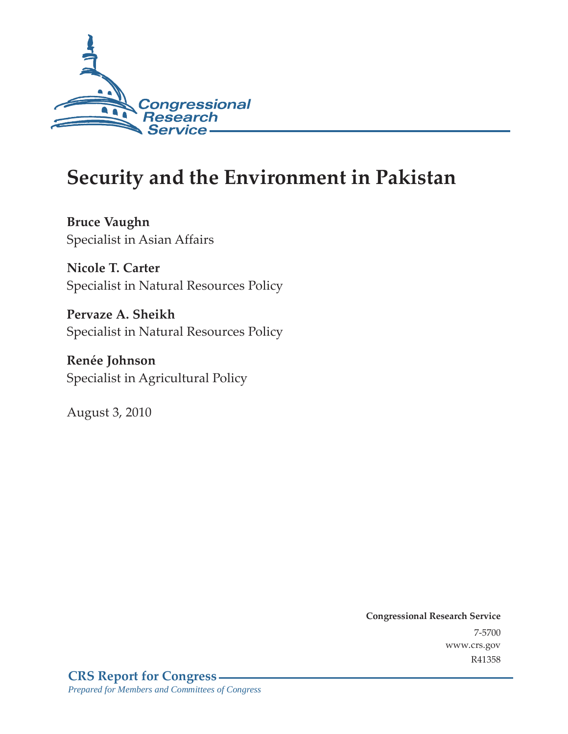

# **Security and the Environment in Pakistan**

**Bruce Vaughn**  Specialist in Asian Affairs

**Nicole T. Carter**  Specialist in Natural Resources Policy

**Pervaze A. Sheikh**  Specialist in Natural Resources Policy

**Renée Johnson**  Specialist in Agricultural Policy

August 3, 2010

**Congressional Research Service** 7-5700 www.crs.gov R41358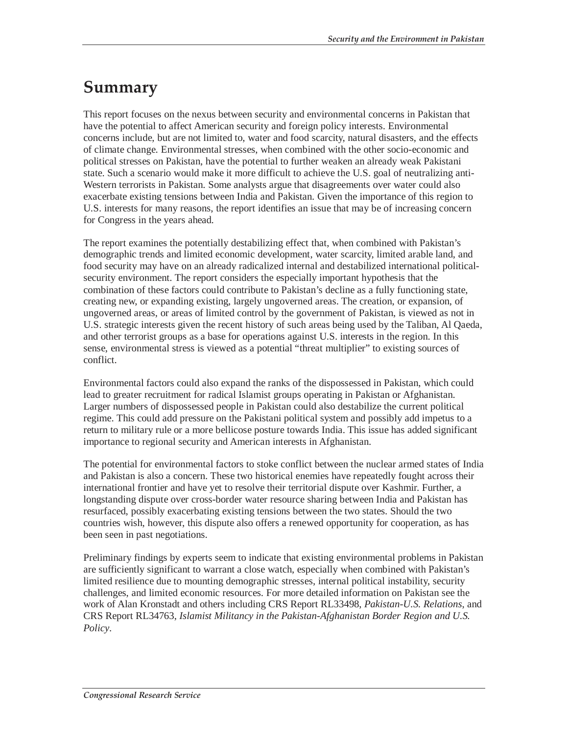# **Summary**

This report focuses on the nexus between security and environmental concerns in Pakistan that have the potential to affect American security and foreign policy interests. Environmental concerns include, but are not limited to, water and food scarcity, natural disasters, and the effects of climate change. Environmental stresses, when combined with the other socio-economic and political stresses on Pakistan, have the potential to further weaken an already weak Pakistani state. Such a scenario would make it more difficult to achieve the U.S. goal of neutralizing anti-Western terrorists in Pakistan. Some analysts argue that disagreements over water could also exacerbate existing tensions between India and Pakistan. Given the importance of this region to U.S. interests for many reasons, the report identifies an issue that may be of increasing concern for Congress in the years ahead.

The report examines the potentially destabilizing effect that, when combined with Pakistan's demographic trends and limited economic development, water scarcity, limited arable land, and food security may have on an already radicalized internal and destabilized international politicalsecurity environment. The report considers the especially important hypothesis that the combination of these factors could contribute to Pakistan's decline as a fully functioning state, creating new, or expanding existing, largely ungoverned areas. The creation, or expansion, of ungoverned areas, or areas of limited control by the government of Pakistan, is viewed as not in U.S. strategic interests given the recent history of such areas being used by the Taliban, Al Qaeda, and other terrorist groups as a base for operations against U.S. interests in the region. In this sense, environmental stress is viewed as a potential "threat multiplier" to existing sources of conflict.

Environmental factors could also expand the ranks of the dispossessed in Pakistan, which could lead to greater recruitment for radical Islamist groups operating in Pakistan or Afghanistan. Larger numbers of dispossessed people in Pakistan could also destabilize the current political regime. This could add pressure on the Pakistani political system and possibly add impetus to a return to military rule or a more bellicose posture towards India. This issue has added significant importance to regional security and American interests in Afghanistan.

The potential for environmental factors to stoke conflict between the nuclear armed states of India and Pakistan is also a concern. These two historical enemies have repeatedly fought across their international frontier and have yet to resolve their territorial dispute over Kashmir. Further, a longstanding dispute over cross-border water resource sharing between India and Pakistan has resurfaced, possibly exacerbating existing tensions between the two states. Should the two countries wish, however, this dispute also offers a renewed opportunity for cooperation, as has been seen in past negotiations.

Preliminary findings by experts seem to indicate that existing environmental problems in Pakistan are sufficiently significant to warrant a close watch, especially when combined with Pakistan's limited resilience due to mounting demographic stresses, internal political instability, security challenges, and limited economic resources. For more detailed information on Pakistan see the work of Alan Kronstadt and others including CRS Report RL33498, *Pakistan-U.S. Relations*, and CRS Report RL34763, *Islamist Militancy in the Pakistan-Afghanistan Border Region and U.S. Policy*.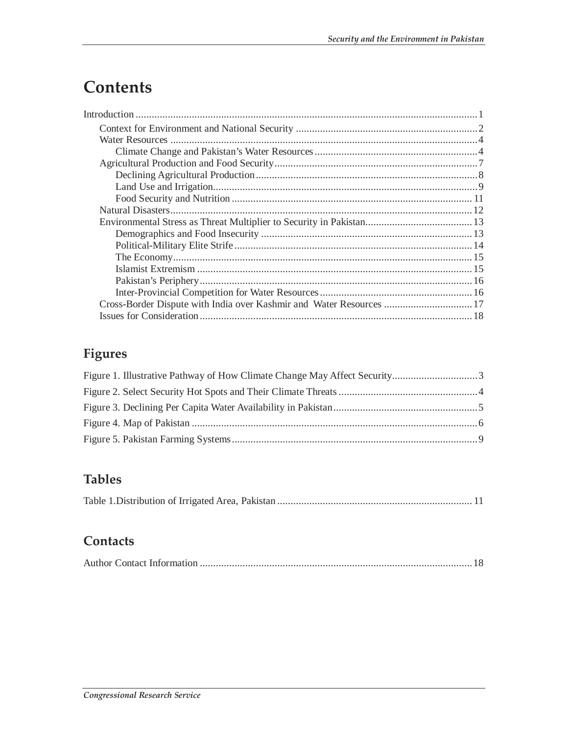# **Contents**

| Cross-Border Dispute with India over Kashmir and Water Resources  17 |  |
|----------------------------------------------------------------------|--|
|                                                                      |  |

# **Figures**

# **Tables**

|--|--|

## **Contacts**

|--|--|--|--|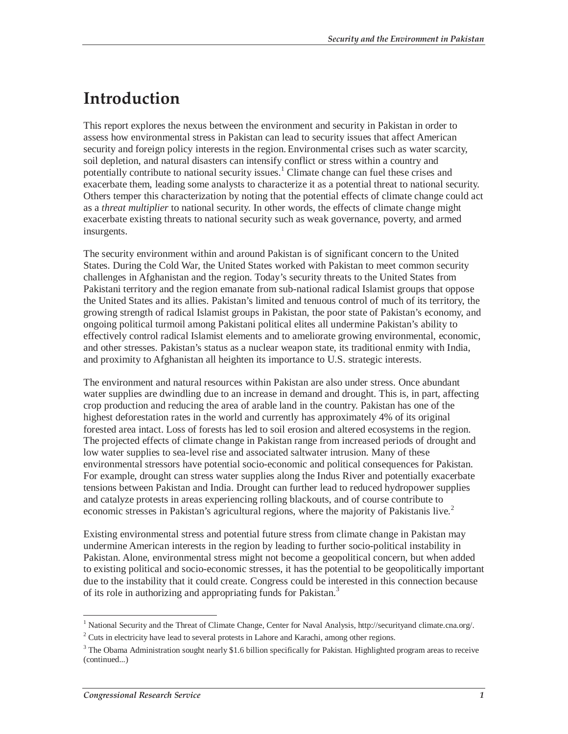# **Introduction**

This report explores the nexus between the environment and security in Pakistan in order to assess how environmental stress in Pakistan can lead to security issues that affect American security and foreign policy interests in the region. Environmental crises such as water scarcity, soil depletion, and natural disasters can intensify conflict or stress within a country and potentially contribute to national security issues.<sup>1</sup> Climate change can fuel these crises and exacerbate them, leading some analysts to characterize it as a potential threat to national security. Others temper this characterization by noting that the potential effects of climate change could act as a *threat multiplier* to national security. In other words, the effects of climate change might exacerbate existing threats to national security such as weak governance, poverty, and armed insurgents.

The security environment within and around Pakistan is of significant concern to the United States. During the Cold War, the United States worked with Pakistan to meet common security challenges in Afghanistan and the region. Today's security threats to the United States from Pakistani territory and the region emanate from sub-national radical Islamist groups that oppose the United States and its allies. Pakistan's limited and tenuous control of much of its territory, the growing strength of radical Islamist groups in Pakistan, the poor state of Pakistan's economy, and ongoing political turmoil among Pakistani political elites all undermine Pakistan's ability to effectively control radical Islamist elements and to ameliorate growing environmental, economic, and other stresses. Pakistan's status as a nuclear weapon state, its traditional enmity with India, and proximity to Afghanistan all heighten its importance to U.S. strategic interests.

The environment and natural resources within Pakistan are also under stress. Once abundant water supplies are dwindling due to an increase in demand and drought. This is, in part, affecting crop production and reducing the area of arable land in the country. Pakistan has one of the highest deforestation rates in the world and currently has approximately 4% of its original forested area intact. Loss of forests has led to soil erosion and altered ecosystems in the region. The projected effects of climate change in Pakistan range from increased periods of drought and low water supplies to sea-level rise and associated saltwater intrusion. Many of these environmental stressors have potential socio-economic and political consequences for Pakistan. For example, drought can stress water supplies along the Indus River and potentially exacerbate tensions between Pakistan and India. Drought can further lead to reduced hydropower supplies and catalyze protests in areas experiencing rolling blackouts, and of course contribute to economic stresses in Pakistan's agricultural regions, where the majority of Pakistanis live.<sup>2</sup>

Existing environmental stress and potential future stress from climate change in Pakistan may undermine American interests in the region by leading to further socio-political instability in Pakistan. Alone, environmental stress might not become a geopolitical concern, but when added to existing political and socio-economic stresses, it has the potential to be geopolitically important due to the instability that it could create. Congress could be interested in this connection because of its role in authorizing and appropriating funds for Pakistan.<sup>3</sup>

 1 National Security and the Threat of Climate Change, Center for Naval Analysis, http://securityand climate.cna.org/.

 $2^2$  Cuts in electricity have lead to several protests in Lahore and Karachi, among other regions.

 $3$  The Obama Administration sought nearly \$1.6 billion specifically for Pakistan. Highlighted program areas to receive (continued...)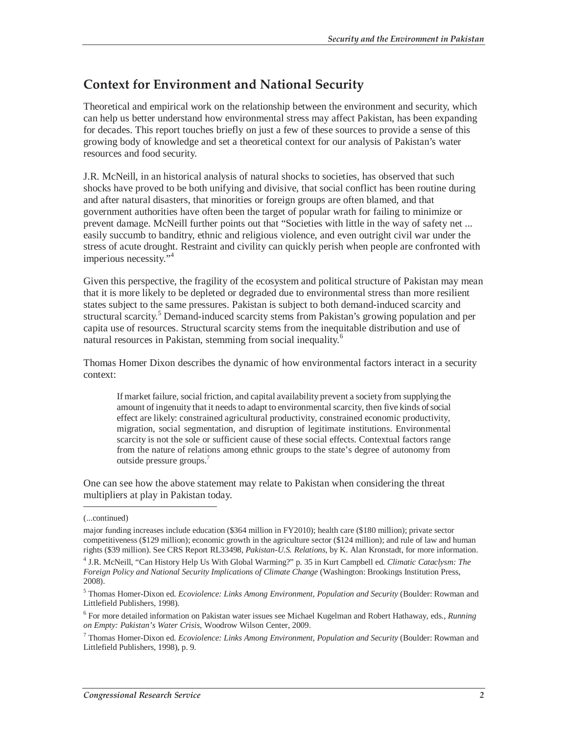# **Context for Environment and National Security**

Theoretical and empirical work on the relationship between the environment and security, which can help us better understand how environmental stress may affect Pakistan, has been expanding for decades. This report touches briefly on just a few of these sources to provide a sense of this growing body of knowledge and set a theoretical context for our analysis of Pakistan's water resources and food security.

J.R. McNeill, in an historical analysis of natural shocks to societies, has observed that such shocks have proved to be both unifying and divisive, that social conflict has been routine during and after natural disasters, that minorities or foreign groups are often blamed, and that government authorities have often been the target of popular wrath for failing to minimize or prevent damage. McNeill further points out that "Societies with little in the way of safety net ... easily succumb to banditry, ethnic and religious violence, and even outright civil war under the stress of acute drought. Restraint and civility can quickly perish when people are confronted with imperious necessity."<sup>4</sup>

Given this perspective, the fragility of the ecosystem and political structure of Pakistan may mean that it is more likely to be depleted or degraded due to environmental stress than more resilient states subject to the same pressures. Pakistan is subject to both demand-induced scarcity and structural scarcity.<sup>5</sup> Demand-induced scarcity stems from Pakistan's growing population and per capita use of resources. Structural scarcity stems from the inequitable distribution and use of natural resources in Pakistan, stemming from social inequality.<sup>6</sup>

Thomas Homer Dixon describes the dynamic of how environmental factors interact in a security context:

If market failure, social friction, and capital availability prevent a society from supplying the amount of ingenuity that it needs to adapt to environmental scarcity, then five kinds of social effect are likely: constrained agricultural productivity, constrained economic productivity, migration, social segmentation, and disruption of legitimate institutions. Environmental scarcity is not the sole or sufficient cause of these social effects. Contextual factors range from the nature of relations among ethnic groups to the state's degree of autonomy from outside pressure groups.7

One can see how the above statement may relate to Pakistan when considering the threat multipliers at play in Pakistan today.

-

<sup>(...</sup>continued)

major funding increases include education (\$364 million in FY2010); health care (\$180 million); private sector competitiveness (\$129 million); economic growth in the agriculture sector (\$124 million); and rule of law and human rights (\$39 million). See CRS Report RL33498, *Pakistan-U.S. Relations*, by K. Alan Kronstadt, for more information.

<sup>4</sup> J.R. McNeill, "Can History Help Us With Global Warming?" p. 35 in Kurt Campbell ed. *Climatic Cataclysm: The Foreign Policy and National Security Implications of Climate Change* (Washington: Brookings Institution Press, 2008).

<sup>5</sup> Thomas Homer-Dixon ed. *Ecoviolence: Links Among Environment, Population and Security* (Boulder: Rowman and Littlefield Publishers, 1998).

<sup>6</sup> For more detailed information on Pakistan water issues see Michael Kugelman and Robert Hathaway, eds., *Running on Empty: Pakistan's Water Crisis*, Woodrow Wilson Center, 2009.

<sup>7</sup> Thomas Homer-Dixon ed. *Ecoviolence: Links Among Environment, Population and Security* (Boulder: Rowman and Littlefield Publishers, 1998), p. 9.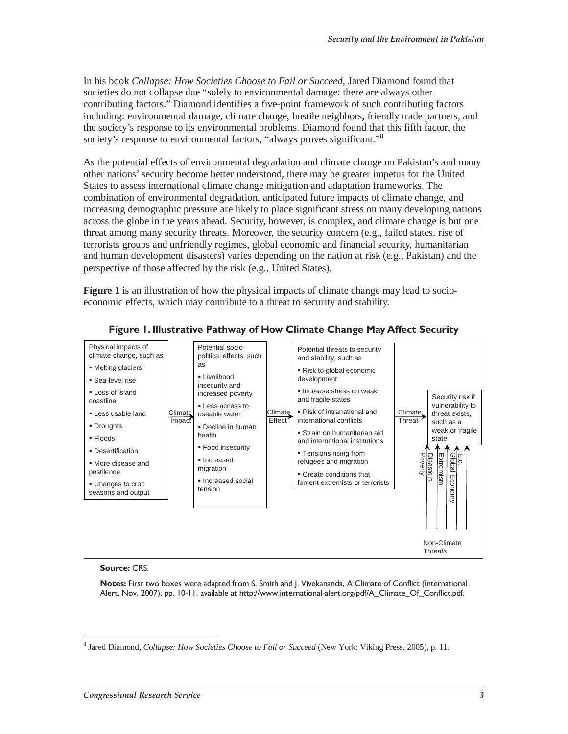In his book *Collapse: How Societies Choose to Fail or Succeed*, Jared Diamond found that societies do not collapse due "solely to environmental damage: there are always other contributing factors." Diamond identifies a five-point framework of such contributing factors including: environmental damage, climate change, hostile neighbors, friendly trade partners, and the society's response to its environmental problems. Diamond found that this fifth factor, the society's response to environmental factors, "always proves significant."<sup>8</sup>

As the potential effects of environmental degradation and climate change on Pakistan's and many other nations' security become better understood, there may be greater impetus for the United States to assess international climate change mitigation and adaptation frameworks. The combination of environmental degradation, anticipated future impacts of climate change, and increasing demographic pressure are likely to place significant stress on many developing nations across the globe in the years ahead. Security, however, is complex, and climate change is but one threat among many security threats. Moreover, the security concern (e.g., failed states, rise of terrorists groups and unfriendly regimes, global economic and financial security, humanitarian and human development disasters) varies depending on the nation at risk (e.g., Pakistan) and the perspective of those affected by the risk (e.g., United States).

**Figure 1** is an illustration of how the physical impacts of climate change may lead to socioeconomic effects, which may contribute to a threat to security and stability.



#### **Figure 1. Illustrative Pathway of How Climate Change May Affect Security**

#### **Source:** CRS.

**Notes:** First two boxes were adapted from S. Smith and J. Vivekananda, A Climate of Conflict (International Alert, Nov. 2007), pp. 10-11, available at http://www.international-alert.org/pdf/A\_Climate\_Of\_Conflict.pdf.

<sup>-</sup>8 Jared Diamond, *Collapse: How Societies Choose to Fail or Succeed* (New York: Viking Press, 2005), p. 11.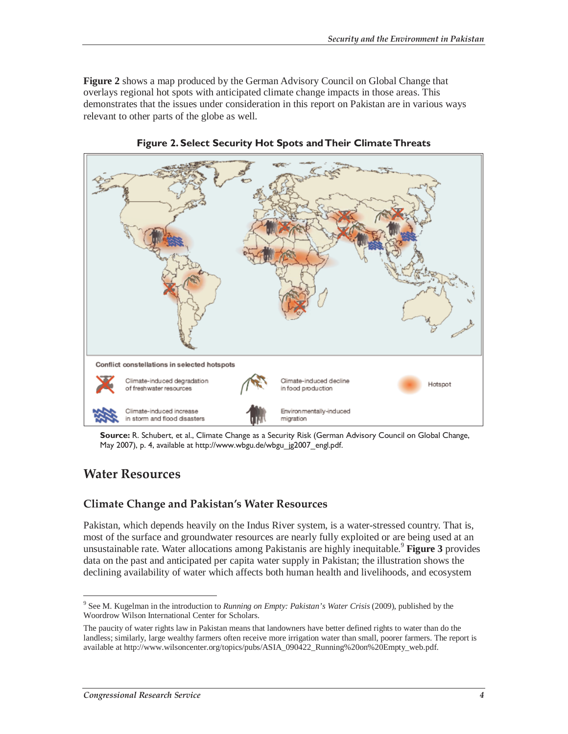**Figure 2** shows a map produced by the German Advisory Council on Global Change that overlays regional hot spots with anticipated climate change impacts in those areas. This demonstrates that the issues under consideration in this report on Pakistan are in various ways relevant to other parts of the globe as well.



**Figure 2. Select Security Hot Spots and Their Climate Threats** 

**Source:** R. Schubert, et al., Climate Change as a Security Risk (German Advisory Council on Global Change, May 2007), p. 4, available at http://www.wbgu.de/wbgu\_jg2007\_engl.pdf.

### **Water Resources**

#### **Climate Change and Pakistan's Water Resources**

Pakistan, which depends heavily on the Indus River system, is a water-stressed country. That is, most of the surface and groundwater resources are nearly fully exploited or are being used at an unsustainable rate. Water allocations among Pakistanis are highly inequitable.<sup>9</sup> **Figure 3** provides data on the past and anticipated per capita water supply in Pakistan; the illustration shows the declining availability of water which affects both human health and livelihoods, and ecosystem

 $\overline{a}$ 9 See M. Kugelman in the introduction to *Running on Empty: Pakistan's Water Crisis* (2009), published by the Woordrow Wilson International Center for Scholars.

The paucity of water rights law in Pakistan means that landowners have better defined rights to water than do the landless; similarly, large wealthy farmers often receive more irrigation water than small, poorer farmers. The report is available at http://www.wilsoncenter.org/topics/pubs/ASIA\_090422\_Running%20on%20Empty\_web.pdf.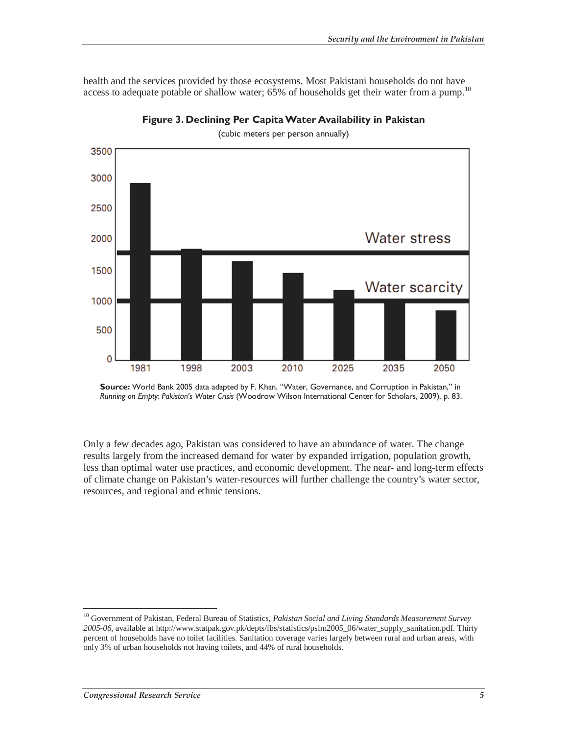health and the services provided by those ecosystems. Most Pakistani households do not have access to adequate potable or shallow water; 65% of households get their water from a pump.<sup>10</sup>



**Figure 3. Declining Per Capita Water Availability in Pakistan** 

(cubic meters per person annually)

Only a few decades ago, Pakistan was considered to have an abundance of water. The change results largely from the increased demand for water by expanded irrigation, population growth, less than optimal water use practices, and economic development. The near- and long-term effects of climate change on Pakistan's water-resources will further challenge the country's water sector, resources, and regional and ethnic tensions.

-

**Source:** World Bank 2005 data adapted by F. Khan, "Water, Governance, and Corruption in Pakistan," in *Running on Empty: Pakistan's Water Crisis* (Woodrow Wilson International Center for Scholars, 2009), p. 83.

<sup>10</sup> Government of Pakistan, Federal Bureau of Statistics, *Pakistan Social and Living Standards Measurement Survey 2005-06*, available at http://www.statpak.gov.pk/depts/fbs/statistics/pslm2005\_06/water\_supply\_sanitation.pdf. Thirty percent of households have no toilet facilities. Sanitation coverage varies largely between rural and urban areas, with only 3% of urban households not having toilets, and 44% of rural households.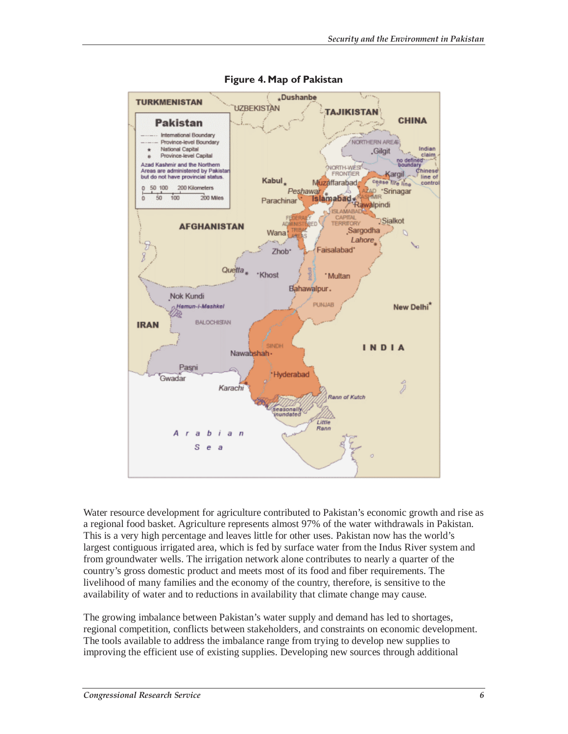

**Figure 4. Map of Pakistan** 

Water resource development for agriculture contributed to Pakistan's economic growth and rise as a regional food basket. Agriculture represents almost 97% of the water withdrawals in Pakistan. This is a very high percentage and leaves little for other uses. Pakistan now has the world's largest contiguous irrigated area, which is fed by surface water from the Indus River system and from groundwater wells. The irrigation network alone contributes to nearly a quarter of the country's gross domestic product and meets most of its food and fiber requirements. The livelihood of many families and the economy of the country, therefore, is sensitive to the availability of water and to reductions in availability that climate change may cause.

The growing imbalance between Pakistan's water supply and demand has led to shortages, regional competition, conflicts between stakeholders, and constraints on economic development. The tools available to address the imbalance range from trying to develop new supplies to improving the efficient use of existing supplies. Developing new sources through additional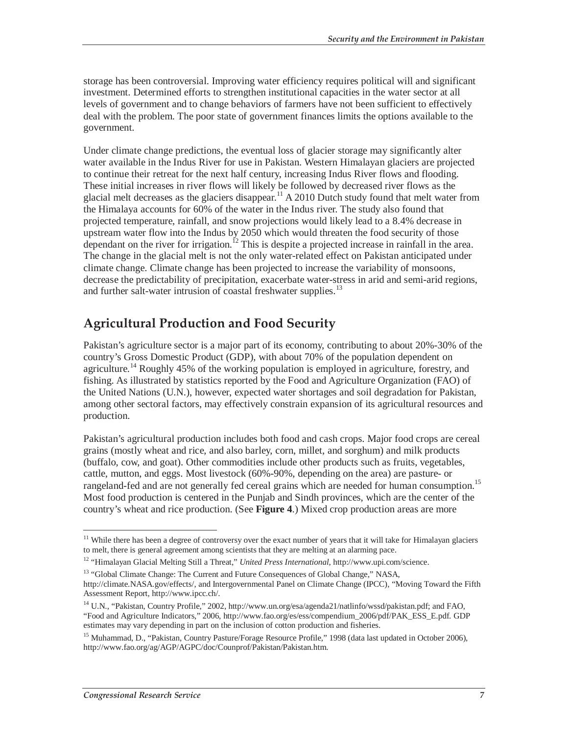storage has been controversial. Improving water efficiency requires political will and significant investment. Determined efforts to strengthen institutional capacities in the water sector at all levels of government and to change behaviors of farmers have not been sufficient to effectively deal with the problem. The poor state of government finances limits the options available to the government.

Under climate change predictions, the eventual loss of glacier storage may significantly alter water available in the Indus River for use in Pakistan. Western Himalayan glaciers are projected to continue their retreat for the next half century, increasing Indus River flows and flooding. These initial increases in river flows will likely be followed by decreased river flows as the glacial melt decreases as the glaciers disappear.<sup>11</sup> A 2010 Dutch study found that melt water from the Himalaya accounts for 60% of the water in the Indus river. The study also found that projected temperature, rainfall, and snow projections would likely lead to a 8.4% decrease in upstream water flow into the Indus by 2050 which would threaten the food security of those dependant on the river for irrigation.<sup>12</sup> This is despite a projected increase in rainfall in the area. The change in the glacial melt is not the only water-related effect on Pakistan anticipated under climate change. Climate change has been projected to increase the variability of monsoons, decrease the predictability of precipitation, exacerbate water-stress in arid and semi-arid regions, and further salt-water intrusion of coastal freshwater supplies.<sup>13</sup>

# **Agricultural Production and Food Security**

Pakistan's agriculture sector is a major part of its economy, contributing to about 20%-30% of the country's Gross Domestic Product (GDP), with about 70% of the population dependent on agriculture.<sup>14</sup> Roughly 45% of the working population is employed in agriculture, forestry, and fishing. As illustrated by statistics reported by the Food and Agriculture Organization (FAO) of the United Nations (U.N.), however, expected water shortages and soil degradation for Pakistan, among other sectoral factors, may effectively constrain expansion of its agricultural resources and production.

Pakistan's agricultural production includes both food and cash crops. Major food crops are cereal grains (mostly wheat and rice, and also barley, corn, millet, and sorghum) and milk products (buffalo, cow, and goat). Other commodities include other products such as fruits, vegetables, cattle, mutton, and eggs. Most livestock (60%-90%, depending on the area) are pasture- or rangeland-fed and are not generally fed cereal grains which are needed for human consumption.<sup>15</sup> Most food production is centered in the Punjab and Sindh provinces, which are the center of the country's wheat and rice production. (See **Figure 4**.) Mixed crop production areas are more

<sup>-</sup> $11$  While there has been a degree of controversy over the exact number of years that it will take for Himalayan glaciers to melt, there is general agreement among scientists that they are melting at an alarming pace.

<sup>12 &</sup>quot;Himalayan Glacial Melting Still a Threat," *United Press International*, http://www.upi.com/science.

<sup>&</sup>lt;sup>13</sup> "Global Climate Change: The Current and Future Consequences of Global Change," NASA,

http://climate.NASA.gov/effects/, and Intergovernmental Panel on Climate Change (IPCC), "Moving Toward the Fifth Assessment Report, http://www.ipcc.ch/.

<sup>&</sup>lt;sup>14</sup> U.N., "Pakistan, Country Profile," 2002, http://www.un.org/esa/agenda21/natlinfo/wssd/pakistan.pdf; and FAO, "Food and Agriculture Indicators," 2006, http://www.fao.org/es/ess/compendium\_2006/pdf/PAK\_ESS\_E.pdf. GDP estimates may vary depending in part on the inclusion of cotton production and fisheries.

<sup>&</sup>lt;sup>15</sup> Muhammad, D., "Pakistan, Country Pasture/Forage Resource Profile," 1998 (data last updated in October 2006), http://www.fao.org/ag/AGP/AGPC/doc/Counprof/Pakistan/Pakistan.htm.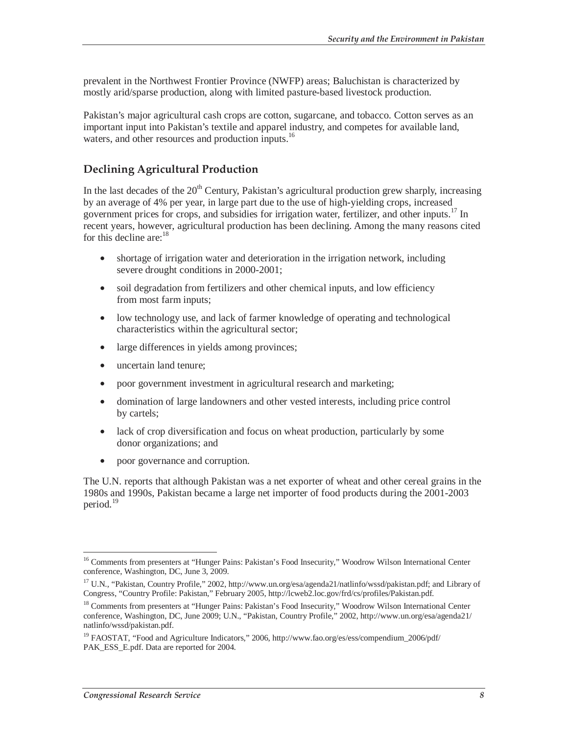prevalent in the Northwest Frontier Province (NWFP) areas; Baluchistan is characterized by mostly arid/sparse production, along with limited pasture-based livestock production.

Pakistan's major agricultural cash crops are cotton, sugarcane, and tobacco. Cotton serves as an important input into Pakistan's textile and apparel industry, and competes for available land, waters, and other resources and production inputs.<sup>16</sup>

#### **Declining Agricultural Production**

In the last decades of the  $20<sup>th</sup>$  Century, Pakistan's agricultural production grew sharply, increasing by an average of 4% per year, in large part due to the use of high-yielding crops, increased government prices for crops, and subsidies for irrigation water, fertilizer, and other inputs.<sup>17</sup> In recent years, however, agricultural production has been declining. Among the many reasons cited for this decline are: $18$ 

- shortage of irrigation water and deterioration in the irrigation network, including severe drought conditions in 2000-2001;
- soil degradation from fertilizers and other chemical inputs, and low efficiency from most farm inputs;
- low technology use, and lack of farmer knowledge of operating and technological characteristics within the agricultural sector;
- large differences in yields among provinces;
- uncertain land tenure;
- poor government investment in agricultural research and marketing;
- domination of large landowners and other vested interests, including price control by cartels;
- lack of crop diversification and focus on wheat production, particularly by some donor organizations; and
- poor governance and corruption.

The U.N. reports that although Pakistan was a net exporter of wheat and other cereal grains in the 1980s and 1990s, Pakistan became a large net importer of food products during the 2001-2003 period.<sup>19</sup>

<sup>-</sup><sup>16</sup> Comments from presenters at "Hunger Pains: Pakistan's Food Insecurity," Woodrow Wilson International Center conference, Washington, DC, June 3, 2009.

<sup>&</sup>lt;sup>17</sup> U.N., "Pakistan, Country Profile," 2002, http://www.un.org/esa/agenda21/natlinfo/wssd/pakistan.pdf; and Library of Congress, "Country Profile: Pakistan," February 2005, http://lcweb2.loc.gov/frd/cs/profiles/Pakistan.pdf.

<sup>18</sup> Comments from presenters at "Hunger Pains: Pakistan's Food Insecurity," Woodrow Wilson International Center conference, Washington, DC, June 2009; U.N., "Pakistan, Country Profile," 2002, http://www.un.org/esa/agenda21/ natlinfo/wssd/pakistan.pdf.

<sup>&</sup>lt;sup>19</sup> FAOSTAT, "Food and Agriculture Indicators," 2006, http://www.fao.org/es/ess/compendium\_2006/pdf/ PAK\_ESS\_E.pdf. Data are reported for 2004.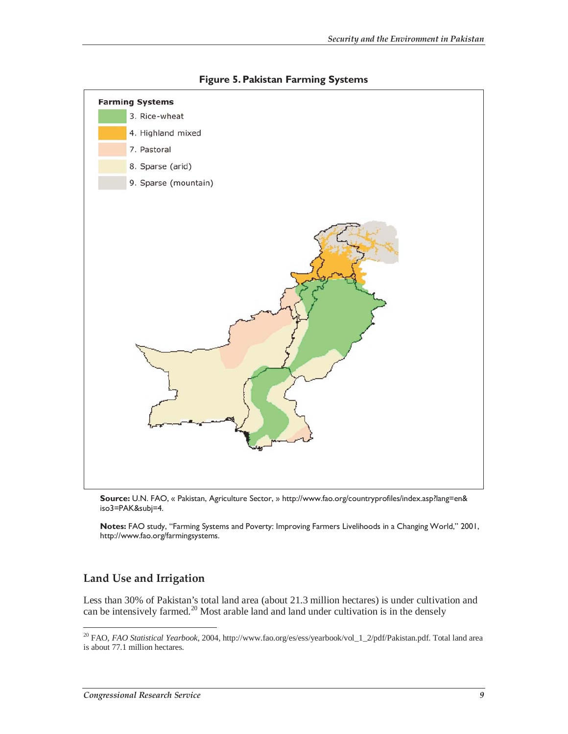

**Figure 5. Pakistan Farming Systems** 

**Source:** U.N. FAO, « Pakistan, Agriculture Sector, » http://www.fao.org/countryprofiles/index.asp?lang=en& iso3=PAK&subj=4.

**Notes:** FAO study, "Farming Systems and Poverty: Improving Farmers Livelihoods in a Changing World," 2001, http://www.fao.org/farmingsystems.

#### **Land Use and Irrigation**

-

Less than 30% of Pakistan's total land area (about 21.3 million hectares) is under cultivation and can be intensively farmed.<sup>20</sup> Most arable land and land under cultivation is in the densely

<sup>20</sup> FAO, *FAO Statistical Yearbook*, 2004, http://www.fao.org/es/ess/yearbook/vol\_1\_2/pdf/Pakistan.pdf. Total land area is about 77.1 million hectares.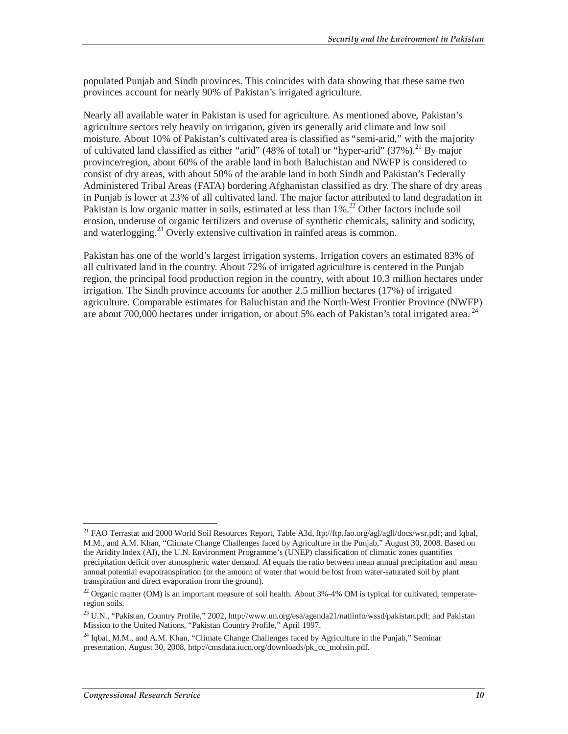populated Punjab and Sindh provinces. This coincides with data showing that these same two provinces account for nearly 90% of Pakistan's irrigated agriculture.

Nearly all available water in Pakistan is used for agriculture. As mentioned above, Pakistan's agriculture sectors rely heavily on irrigation, given its generally arid climate and low soil moisture. About 10% of Pakistan's cultivated area is classified as "semi-arid," with the majority of cultivated land classified as either "arid" (48% of total) or "hyper-arid" (37%).<sup>21</sup> By major province/region, about 60% of the arable land in both Baluchistan and NWFP is considered to consist of dry areas, with about 50% of the arable land in both Sindh and Pakistan's Federally Administered Tribal Areas (FATA) bordering Afghanistan classified as dry. The share of dry areas in Punjab is lower at 23% of all cultivated land. The major factor attributed to land degradation in Pakistan is low organic matter in soils, estimated at less than  $1\%$ <sup>22</sup> Other factors include soil erosion, underuse of organic fertilizers and overuse of synthetic chemicals, salinity and sodicity, and waterlogging.<sup>23</sup> Overly extensive cultivation in rainfed areas is common.

Pakistan has one of the world's largest irrigation systems. Irrigation covers an estimated 83% of all cultivated land in the country. About 72% of irrigated agriculture is centered in the Punjab region, the principal food production region in the country, with about 10.3 million hectares under irrigation. The Sindh province accounts for another 2.5 million hectares (17%) of irrigated agriculture. Comparable estimates for Baluchistan and the North-West Frontier Province (NWFP) are about 700,000 hectares under irrigation, or about 5% each of Pakistan's total irrigated area.<sup>24</sup>

-

<sup>&</sup>lt;sup>21</sup> FAO Terrastat and 2000 World Soil Resources Report, Table A3d, ftp://ftp.fao.org/agl/agll/docs/wsr.pdf; and Iqbal, M.M., and A.M. Khan, "Climate Change Challenges faced by Agriculture in the Punjab," August 30, 2008. Based on the Aridity Index (AI), the U.N. Environment Programme's (UNEP) classification of climatic zones quantifies precipitation deficit over atmospheric water demand. AI equals the ratio between mean annual precipitation and mean annual potential evapotranspiration (or the amount of water that would be lost from water-saturated soil by plant transpiration and direct evaporation from the ground).

<sup>&</sup>lt;sup>22</sup> Organic matter (OM) is an important measure of soil health. About  $3\% -4\%$  OM is typical for cultivated, temperateregion soils.

<sup>&</sup>lt;sup>23</sup> U.N., "Pakistan, Country Profile," 2002, http://www.un.org/esa/agenda21/natlinfo/wssd/pakistan.pdf; and Pakistan Mission to the United Nations, "Pakistan Country Profile," April 1997.

<sup>&</sup>lt;sup>24</sup> Iqbal, M.M., and A.M. Khan, "Climate Change Challenges faced by Agriculture in the Punjab," Seminar presentation, August 30, 2008, http://cmsdata.iucn.org/downloads/pk\_cc\_mohsin.pdf.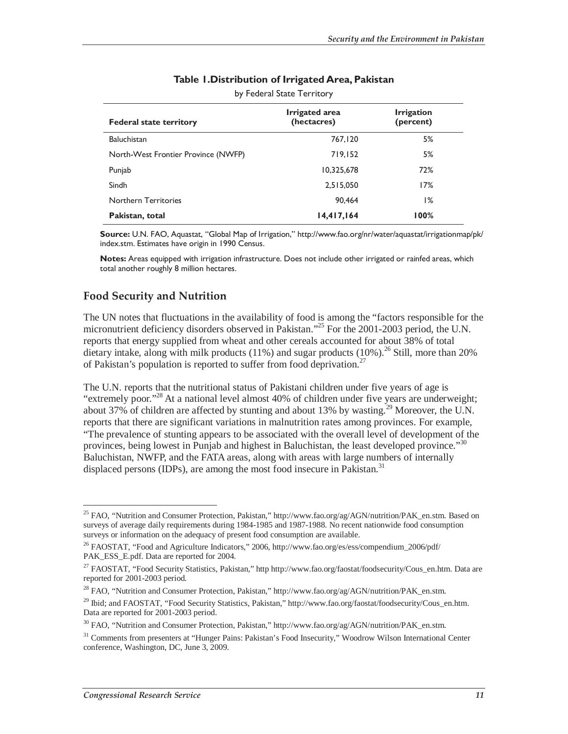| <b>Federal state territory</b>      | Irrigated area<br>(hectacres) | <b>Irrigation</b><br>(percent) |  |  |
|-------------------------------------|-------------------------------|--------------------------------|--|--|
| <b>Baluchistan</b>                  | 767,120                       | 5%                             |  |  |
| North-West Frontier Province (NWFP) | 719,152                       | 5%                             |  |  |
| Punjab                              | 10,325,678                    | 72%                            |  |  |
| Sindh                               | 2,515,050                     | 17%                            |  |  |
| <b>Northern Territories</b>         | 90.464                        | 1%                             |  |  |
| Pakistan, total                     | 14,417,164                    | 100%                           |  |  |

#### **Table 1.Distribution of Irrigated Area, Pakistan**

by Federal State Territory

**Source:** U.N. FAO, Aquastat, "Global Map of Irrigation," http://www.fao.org/nr/water/aquastat/irrigationmap/pk/ index.stm. Estimates have origin in 1990 Census.

**Notes:** Areas equipped with irrigation infrastructure. Does not include other irrigated or rainfed areas, which total another roughly 8 million hectares.

#### **Food Security and Nutrition**

The UN notes that fluctuations in the availability of food is among the "factors responsible for the micronutrient deficiency disorders observed in Pakistan."<sup>25</sup> For the 2001-2003 period, the U.N. reports that energy supplied from wheat and other cereals accounted for about 38% of total dietary intake, along with milk products (11%) and sugar products (10%).<sup>26</sup> Still, more than 20% of Pakistan's population is reported to suffer from food deprivation.<sup>27</sup>

The U.N. reports that the nutritional status of Pakistani children under five years of age is "extremely poor."28 At a national level almost 40% of children under five years are underweight; about 37% of children are affected by stunting and about 13% by wasting.<sup>29</sup> Moreover, the U.N. reports that there are significant variations in malnutrition rates among provinces. For example, "The prevalence of stunting appears to be associated with the overall level of development of the provinces, being lowest in Punjab and highest in Baluchistan, the least developed province."<sup>30</sup> Baluchistan, NWFP, and the FATA areas, along with areas with large numbers of internally displaced persons (IDPs), are among the most food insecure in Pakistan.<sup>31</sup>

-

<sup>&</sup>lt;sup>25</sup> FAO, "Nutrition and Consumer Protection, Pakistan," http://www.fao.org/ag/AGN/nutrition/PAK\_en.stm. Based on surveys of average daily requirements during 1984-1985 and 1987-1988. No recent nationwide food consumption surveys or information on the adequacy of present food consumption are available.

<sup>&</sup>lt;sup>26</sup> FAOSTAT, "Food and Agriculture Indicators," 2006, http://www.fao.org/es/ess/compendium\_2006/pdf/ PAK\_ESS\_E.pdf. Data are reported for 2004.

<sup>&</sup>lt;sup>27</sup> FAOSTAT, "Food Security Statistics, Pakistan," http http://www.fao.org/faostat/foodsecurity/Cous\_en.htm. Data are reported for 2001-2003 period.

<sup>&</sup>lt;sup>28</sup> FAO, "Nutrition and Consumer Protection, Pakistan," http://www.fao.org/ag/AGN/nutrition/PAK\_en.stm.

<sup>&</sup>lt;sup>29</sup> Ibid; and FAOSTAT, "Food Security Statistics, Pakistan," http://www.fao.org/faostat/foodsecurity/Cous\_en.htm. Data are reported for 2001-2003 period.

<sup>&</sup>lt;sup>30</sup> FAO, "Nutrition and Consumer Protection, Pakistan," http://www.fao.org/ag/AGN/nutrition/PAK\_en.stm.

<sup>&</sup>lt;sup>31</sup> Comments from presenters at "Hunger Pains: Pakistan's Food Insecurity," Woodrow Wilson International Center conference, Washington, DC, June 3, 2009.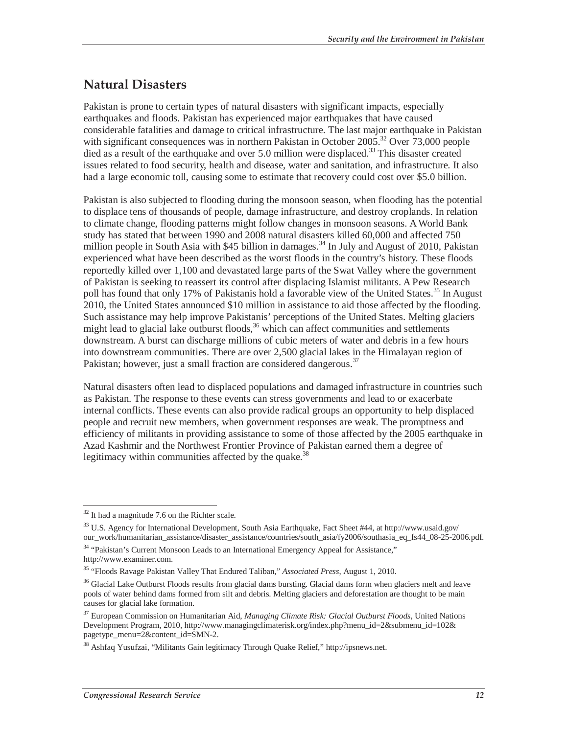# **Natural Disasters**

Pakistan is prone to certain types of natural disasters with significant impacts, especially earthquakes and floods. Pakistan has experienced major earthquakes that have caused considerable fatalities and damage to critical infrastructure. The last major earthquake in Pakistan with significant consequences was in northern Pakistan in October 2005.<sup>32</sup> Over 73,000 people died as a result of the earthquake and over 5.0 million were displaced.<sup>33</sup> This disaster created issues related to food security, health and disease, water and sanitation, and infrastructure. It also had a large economic toll, causing some to estimate that recovery could cost over \$5.0 billion.

Pakistan is also subjected to flooding during the monsoon season, when flooding has the potential to displace tens of thousands of people, damage infrastructure, and destroy croplands. In relation to climate change, flooding patterns might follow changes in monsoon seasons. A World Bank study has stated that between 1990 and 2008 natural disasters killed 60,000 and affected 750 million people in South Asia with \$45 billion in damages.<sup>34</sup> In July and August of 2010, Pakistan experienced what have been described as the worst floods in the country's history. These floods reportedly killed over 1,100 and devastated large parts of the Swat Valley where the government of Pakistan is seeking to reassert its control after displacing Islamist militants. A Pew Research poll has found that only 17% of Pakistanis hold a favorable view of the United States.<sup>35</sup> In August 2010, the United States announced \$10 million in assistance to aid those affected by the flooding. Such assistance may help improve Pakistanis' perceptions of the United States. Melting glaciers might lead to glacial lake outburst floods,  $36$  which can affect communities and settlements downstream. A burst can discharge millions of cubic meters of water and debris in a few hours into downstream communities. There are over 2,500 glacial lakes in the Himalayan region of Pakistan; however, just a small fraction are considered dangerous.<sup>37</sup>

Natural disasters often lead to displaced populations and damaged infrastructure in countries such as Pakistan. The response to these events can stress governments and lead to or exacerbate internal conflicts. These events can also provide radical groups an opportunity to help displaced people and recruit new members, when government responses are weak. The promptness and efficiency of militants in providing assistance to some of those affected by the 2005 earthquake in Azad Kashmir and the Northwest Frontier Province of Pakistan earned them a degree of legitimacy within communities affected by the quake.<sup>38</sup>

<sup>-</sup> $32$  It had a magnitude 7.6 on the Richter scale.

<sup>33</sup> U.S. Agency for International Development, South Asia Earthquake, Fact Sheet #44, at http://www.usaid.gov/ our\_work/humanitarian\_assistance/disaster\_assistance/countries/south\_asia/fy2006/southasia\_eq\_fs44\_08-25-2006.pdf.

<sup>&</sup>lt;sup>34</sup> "Pakistan's Current Monsoon Leads to an International Emergency Appeal for Assistance," http://www.examiner.com.

<sup>35 &</sup>quot;Floods Ravage Pakistan Valley That Endured Taliban," *Associated Press*, August 1, 2010.

<sup>&</sup>lt;sup>36</sup> Glacial Lake Outburst Floods results from glacial dams bursting. Glacial dams form when glaciers melt and leave pools of water behind dams formed from silt and debris. Melting glaciers and deforestation are thought to be main causes for glacial lake formation.

<sup>37</sup> European Commission on Humanitarian Aid, *Managing Climate Risk: Glacial Outburst Floods*, United Nations Development Program, 2010, http://www.managingclimaterisk.org/index.php?menu\_id=2&submenu\_id=102& pagetype\_menu=2&content\_id=SMN-2.

<sup>38</sup> Ashfaq Yusufzai, "Militants Gain legitimacy Through Quake Relief," http://ipsnews.net.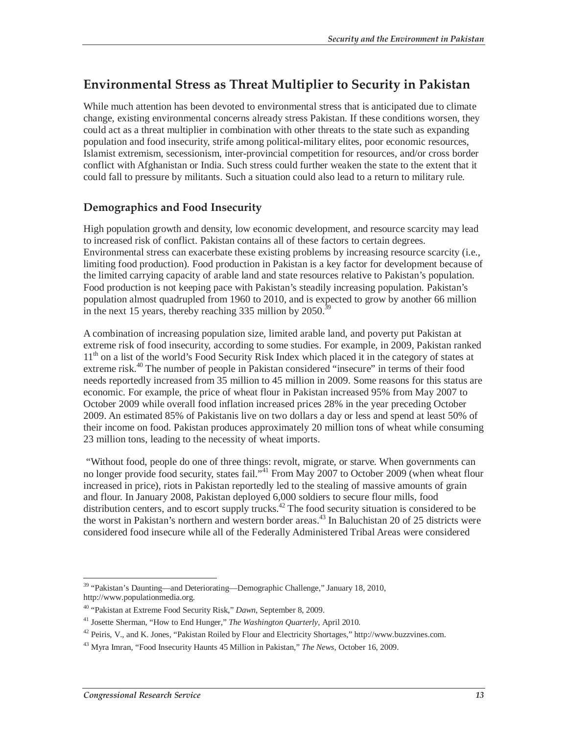# **Environmental Stress as Threat Multiplier to Security in Pakistan**

While much attention has been devoted to environmental stress that is anticipated due to climate change, existing environmental concerns already stress Pakistan. If these conditions worsen, they could act as a threat multiplier in combination with other threats to the state such as expanding population and food insecurity, strife among political-military elites, poor economic resources, Islamist extremism, secessionism, inter-provincial competition for resources, and/or cross border conflict with Afghanistan or India. Such stress could further weaken the state to the extent that it could fall to pressure by militants. Such a situation could also lead to a return to military rule.

#### **Demographics and Food Insecurity**

High population growth and density, low economic development, and resource scarcity may lead to increased risk of conflict. Pakistan contains all of these factors to certain degrees. Environmental stress can exacerbate these existing problems by increasing resource scarcity (i.e., limiting food production). Food production in Pakistan is a key factor for development because of the limited carrying capacity of arable land and state resources relative to Pakistan's population. Food production is not keeping pace with Pakistan's steadily increasing population. Pakistan's population almost quadrupled from 1960 to 2010, and is expected to grow by another 66 million in the next 15 years, thereby reaching 335 million by  $2050<sup>3</sup>$ 

A combination of increasing population size, limited arable land, and poverty put Pakistan at extreme risk of food insecurity, according to some studies. For example, in 2009, Pakistan ranked 11<sup>th</sup> on a list of the world's Food Security Risk Index which placed it in the category of states at extreme risk.<sup>40</sup> The number of people in Pakistan considered "insecure" in terms of their food needs reportedly increased from 35 million to 45 million in 2009. Some reasons for this status are economic. For example, the price of wheat flour in Pakistan increased 95% from May 2007 to October 2009 while overall food inflation increased prices 28% in the year preceding October 2009. An estimated 85% of Pakistanis live on two dollars a day or less and spend at least 50% of their income on food. Pakistan produces approximately 20 million tons of wheat while consuming 23 million tons, leading to the necessity of wheat imports.

 "Without food, people do one of three things: revolt, migrate, or starve. When governments can no longer provide food security, states fail."<sup>41</sup> From May 2007 to October 2009 (when wheat flour increased in price), riots in Pakistan reportedly led to the stealing of massive amounts of grain and flour. In January 2008, Pakistan deployed 6,000 soldiers to secure flour mills, food distribution centers, and to escort supply trucks.<sup>42</sup> The food security situation is considered to be the worst in Pakistan's northern and western border areas.<sup>43</sup> In Baluchistan 20 of 25 districts were considered food insecure while all of the Federally Administered Tribal Areas were considered

<sup>-</sup><sup>39</sup> "Pakistan's Daunting—and Deteriorating—Demographic Challenge," January 18, 2010, http://www.populationmedia.org.

<sup>40 &</sup>quot;Pakistan at Extreme Food Security Risk," *Dawn*, September 8, 2009.

<sup>41</sup> Josette Sherman, "How to End Hunger," *The Washington Quarterly*, April 2010.

 $^{42}$  Peiris, V., and K. Jones, "Pakistan Roiled by Flour and Electricity Shortages," http://www.buzzvines.com.

<sup>43</sup> Myra Imran, "Food Insecurity Haunts 45 Million in Pakistan," *The News,* October 16, 2009.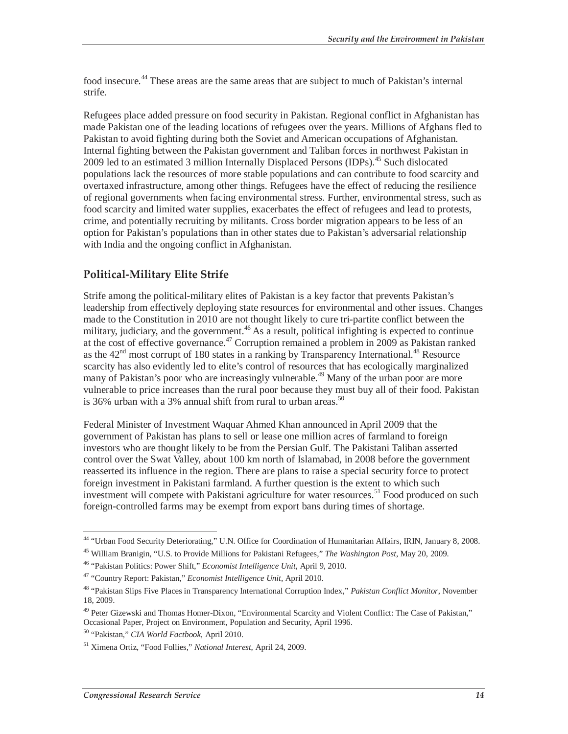food insecure.<sup>44</sup> These areas are the same areas that are subject to much of Pakistan's internal strife.

Refugees place added pressure on food security in Pakistan. Regional conflict in Afghanistan has made Pakistan one of the leading locations of refugees over the years. Millions of Afghans fled to Pakistan to avoid fighting during both the Soviet and American occupations of Afghanistan. Internal fighting between the Pakistan government and Taliban forces in northwest Pakistan in 2009 led to an estimated 3 million Internally Displaced Persons (IDPs).<sup>45</sup> Such dislocated populations lack the resources of more stable populations and can contribute to food scarcity and overtaxed infrastructure, among other things. Refugees have the effect of reducing the resilience of regional governments when facing environmental stress. Further, environmental stress, such as food scarcity and limited water supplies, exacerbates the effect of refugees and lead to protests, crime, and potentially recruiting by militants. Cross border migration appears to be less of an option for Pakistan's populations than in other states due to Pakistan's adversarial relationship with India and the ongoing conflict in Afghanistan.

#### **Political-Military Elite Strife**

Strife among the political-military elites of Pakistan is a key factor that prevents Pakistan's leadership from effectively deploying state resources for environmental and other issues. Changes made to the Constitution in 2010 are not thought likely to cure tri-partite conflict between the military, judiciary, and the government.<sup>46</sup> As a result, political infighting is expected to continue at the cost of effective governance.<sup>47</sup> Corruption remained a problem in 2009 as Pakistan ranked as the  $42<sup>nd</sup>$  most corrupt of 180 states in a ranking by Transparency International.<sup>48</sup> Resource scarcity has also evidently led to elite's control of resources that has ecologically marginalized many of Pakistan's poor who are increasingly vulnerable.<sup>49</sup> Many of the urban poor are more vulnerable to price increases than the rural poor because they must buy all of their food. Pakistan is 36% urban with a 3% annual shift from rural to urban areas.<sup>50</sup>

Federal Minister of Investment Waquar Ahmed Khan announced in April 2009 that the government of Pakistan has plans to sell or lease one million acres of farmland to foreign investors who are thought likely to be from the Persian Gulf. The Pakistani Taliban asserted control over the Swat Valley, about 100 km north of Islamabad, in 2008 before the government reasserted its influence in the region. There are plans to raise a special security force to protect foreign investment in Pakistani farmland. A further question is the extent to which such investment will compete with Pakistani agriculture for water resources.<sup>51</sup> Food produced on such foreign-controlled farms may be exempt from export bans during times of shortage.

<sup>-</sup>44 "Urban Food Security Deteriorating," U.N. Office for Coordination of Humanitarian Affairs, IRIN, January 8, 2008.

<sup>45</sup> William Branigin, "U.S. to Provide Millions for Pakistani Refugees," *The Washington Post*, May 20, 2009.

<sup>46 &</sup>quot;Pakistan Politics: Power Shift," *Economist Intelligence Unit*, April 9, 2010.

<sup>47 &</sup>quot;Country Report: Pakistan," *Economist Intelligence Unit*, April 2010.

<sup>48 &</sup>quot;Pakistan Slips Five Places in Transparency International Corruption Index," *Pakistan Conflict Monitor*, November 18, 2009.

<sup>49</sup> Peter Gizewski and Thomas Homer-Dixon, "Environmental Scarcity and Violent Conflict: The Case of Pakistan," Occasional Paper, Project on Environment, Population and Security, April 1996.

<sup>50 &</sup>quot;Pakistan," *CIA World Factbook,* April 2010.

<sup>51</sup> Ximena Ortiz, "Food Follies," *National Interest*, April 24, 2009.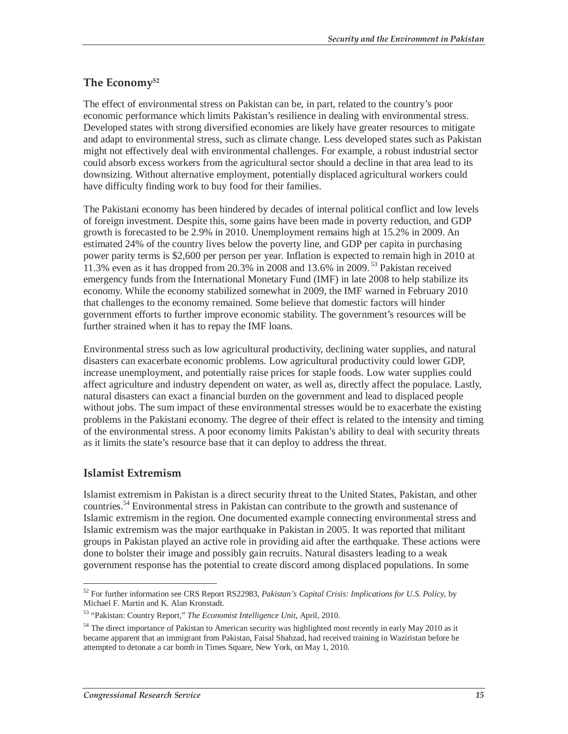#### **The Economy52**

The effect of environmental stress on Pakistan can be, in part, related to the country's poor economic performance which limits Pakistan's resilience in dealing with environmental stress. Developed states with strong diversified economies are likely have greater resources to mitigate and adapt to environmental stress, such as climate change. Less developed states such as Pakistan might not effectively deal with environmental challenges. For example, a robust industrial sector could absorb excess workers from the agricultural sector should a decline in that area lead to its downsizing. Without alternative employment, potentially displaced agricultural workers could have difficulty finding work to buy food for their families.

The Pakistani economy has been hindered by decades of internal political conflict and low levels of foreign investment. Despite this, some gains have been made in poverty reduction, and GDP growth is forecasted to be 2.9% in 2010. Unemployment remains high at 15.2% in 2009. An estimated 24% of the country lives below the poverty line, and GDP per capita in purchasing power parity terms is \$2,600 per person per year. Inflation is expected to remain high in 2010 at 11.3% even as it has dropped from 20.3% in 2008 and 13.6% in 2009. 53 Pakistan received emergency funds from the International Monetary Fund (IMF) in late 2008 to help stabilize its economy. While the economy stabilized somewhat in 2009, the IMF warned in February 2010 that challenges to the economy remained. Some believe that domestic factors will hinder government efforts to further improve economic stability. The government's resources will be further strained when it has to repay the IMF loans.

Environmental stress such as low agricultural productivity, declining water supplies, and natural disasters can exacerbate economic problems. Low agricultural productivity could lower GDP, increase unemployment, and potentially raise prices for staple foods. Low water supplies could affect agriculture and industry dependent on water, as well as, directly affect the populace. Lastly, natural disasters can exact a financial burden on the government and lead to displaced people without jobs. The sum impact of these environmental stresses would be to exacerbate the existing problems in the Pakistani economy. The degree of their effect is related to the intensity and timing of the environmental stress. A poor economy limits Pakistan's ability to deal with security threats as it limits the state's resource base that it can deploy to address the threat.

#### **Islamist Extremism**

Islamist extremism in Pakistan is a direct security threat to the United States, Pakistan, and other countries.<sup>54</sup> Environmental stress in Pakistan can contribute to the growth and sustenance of Islamic extremism in the region. One documented example connecting environmental stress and Islamic extremism was the major earthquake in Pakistan in 2005. It was reported that militant groups in Pakistan played an active role in providing aid after the earthquake. These actions were done to bolster their image and possibly gain recruits. Natural disasters leading to a weak government response has the potential to create discord among displaced populations. In some

<sup>-</sup>52 For further information see CRS Report RS22983, *Pakistan's Capital Crisis: Implications for U.S. Policy*, by Michael F. Martin and K. Alan Kronstadt.

<sup>53 &</sup>quot;Pakistan: Country Report," *The Economist Intelligence Unit*, April, 2010.

<sup>&</sup>lt;sup>54</sup> The direct importance of Pakistan to American security was highlighted most recently in early May 2010 as it became apparent that an immigrant from Pakistan, Faisal Shahzad, had received training in Waziristan before he attempted to detonate a car bomb in Times Square, New York, on May 1, 2010.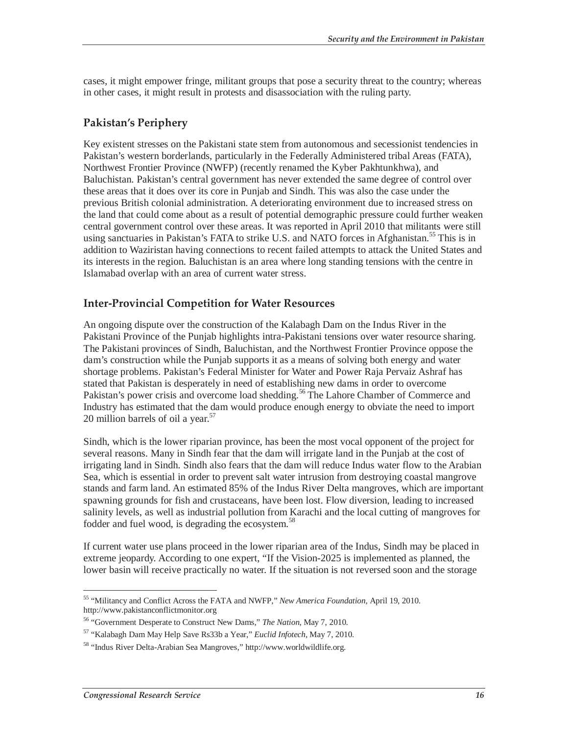cases, it might empower fringe, militant groups that pose a security threat to the country; whereas in other cases, it might result in protests and disassociation with the ruling party.

#### **Pakistan's Periphery**

Key existent stresses on the Pakistani state stem from autonomous and secessionist tendencies in Pakistan's western borderlands, particularly in the Federally Administered tribal Areas (FATA), Northwest Frontier Province (NWFP) (recently renamed the Kyber Pakhtunkhwa), and Baluchistan. Pakistan's central government has never extended the same degree of control over these areas that it does over its core in Punjab and Sindh. This was also the case under the previous British colonial administration. A deteriorating environment due to increased stress on the land that could come about as a result of potential demographic pressure could further weaken central government control over these areas. It was reported in April 2010 that militants were still using sanctuaries in Pakistan's FATA to strike U.S. and NATO forces in Afghanistan.<sup>55</sup> This is in addition to Waziristan having connections to recent failed attempts to attack the United States and its interests in the region. Baluchistan is an area where long standing tensions with the centre in Islamabad overlap with an area of current water stress.

#### **Inter-Provincial Competition for Water Resources**

An ongoing dispute over the construction of the Kalabagh Dam on the Indus River in the Pakistani Province of the Punjab highlights intra-Pakistani tensions over water resource sharing. The Pakistani provinces of Sindh, Baluchistan, and the Northwest Frontier Province oppose the dam's construction while the Punjab supports it as a means of solving both energy and water shortage problems. Pakistan's Federal Minister for Water and Power Raja Pervaiz Ashraf has stated that Pakistan is desperately in need of establishing new dams in order to overcome Pakistan's power crisis and overcome load shedding.<sup>56</sup> The Lahore Chamber of Commerce and Industry has estimated that the dam would produce enough energy to obviate the need to import 20 million barrels of oil a year. $57$ 

Sindh, which is the lower riparian province, has been the most vocal opponent of the project for several reasons. Many in Sindh fear that the dam will irrigate land in the Punjab at the cost of irrigating land in Sindh. Sindh also fears that the dam will reduce Indus water flow to the Arabian Sea, which is essential in order to prevent salt water intrusion from destroying coastal mangrove stands and farm land. An estimated 85% of the Indus River Delta mangroves, which are important spawning grounds for fish and crustaceans, have been lost. Flow diversion, leading to increased salinity levels, as well as industrial pollution from Karachi and the local cutting of mangroves for fodder and fuel wood, is degrading the ecosystem.<sup>58</sup>

If current water use plans proceed in the lower riparian area of the Indus, Sindh may be placed in extreme jeopardy. According to one expert, "If the Vision-2025 is implemented as planned, the lower basin will receive practically no water. If the situation is not reversed soon and the storage

 $\overline{a}$ 55 "Militancy and Conflict Across the FATA and NWFP," *New America Foundation*, April 19, 2010. http://www.pakistanconflictmonitor.org

<sup>56 &</sup>quot;Government Desperate to Construct New Dams," *The Nation*, May 7, 2010.

<sup>57 &</sup>quot;Kalabagh Dam May Help Save Rs33b a Year," *Euclid Infotech*, May 7, 2010.

<sup>58 &</sup>quot;Indus River Delta-Arabian Sea Mangroves," http://www.worldwildlife.org.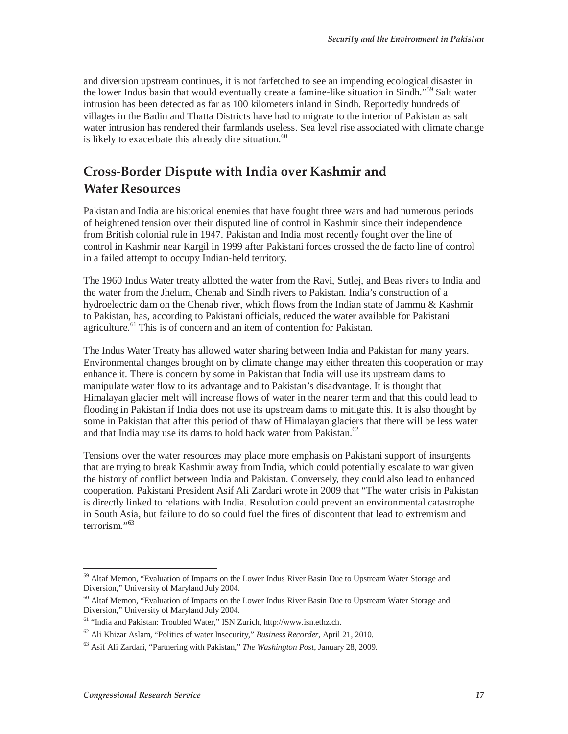and diversion upstream continues, it is not farfetched to see an impending ecological disaster in the lower Indus basin that would eventually create a famine-like situation in Sindh."59 Salt water intrusion has been detected as far as 100 kilometers inland in Sindh. Reportedly hundreds of villages in the Badin and Thatta Districts have had to migrate to the interior of Pakistan as salt water intrusion has rendered their farmlands useless. Sea level rise associated with climate change is likely to exacerbate this already dire situation. $60$ 

# **Cross-Border Dispute with India over Kashmir and Water Resources**

Pakistan and India are historical enemies that have fought three wars and had numerous periods of heightened tension over their disputed line of control in Kashmir since their independence from British colonial rule in 1947. Pakistan and India most recently fought over the line of control in Kashmir near Kargil in 1999 after Pakistani forces crossed the de facto line of control in a failed attempt to occupy Indian-held territory.

The 1960 Indus Water treaty allotted the water from the Ravi, Sutlej, and Beas rivers to India and the water from the Jhelum, Chenab and Sindh rivers to Pakistan. India's construction of a hydroelectric dam on the Chenab river, which flows from the Indian state of Jammu & Kashmir to Pakistan, has, according to Pakistani officials, reduced the water available for Pakistani agriculture.<sup>61</sup> This is of concern and an item of contention for Pakistan.

The Indus Water Treaty has allowed water sharing between India and Pakistan for many years. Environmental changes brought on by climate change may either threaten this cooperation or may enhance it. There is concern by some in Pakistan that India will use its upstream dams to manipulate water flow to its advantage and to Pakistan's disadvantage. It is thought that Himalayan glacier melt will increase flows of water in the nearer term and that this could lead to flooding in Pakistan if India does not use its upstream dams to mitigate this. It is also thought by some in Pakistan that after this period of thaw of Himalayan glaciers that there will be less water and that India may use its dams to hold back water from Pakistan.<sup>62</sup>

Tensions over the water resources may place more emphasis on Pakistani support of insurgents that are trying to break Kashmir away from India, which could potentially escalate to war given the history of conflict between India and Pakistan. Conversely, they could also lead to enhanced cooperation. Pakistani President Asif Ali Zardari wrote in 2009 that "The water crisis in Pakistan is directly linked to relations with India. Resolution could prevent an environmental catastrophe in South Asia, but failure to do so could fuel the fires of discontent that lead to extremism and terrorism."63

<sup>-</sup><sup>59</sup> Altaf Memon, "Evaluation of Impacts on the Lower Indus River Basin Due to Upstream Water Storage and Diversion," University of Maryland July 2004.

<sup>&</sup>lt;sup>60</sup> Altaf Memon, "Evaluation of Impacts on the Lower Indus River Basin Due to Upstream Water Storage and Diversion," University of Maryland July 2004.

<sup>61 &</sup>quot;India and Pakistan: Troubled Water," ISN Zurich, http://www.isn.ethz.ch.

<sup>62</sup> Ali Khizar Aslam, "Politics of water Insecurity," *Business Recorder,* April 21, 2010.

<sup>63</sup> Asif Ali Zardari, "Partnering with Pakistan," *The Washington Post*, January 28, 2009.